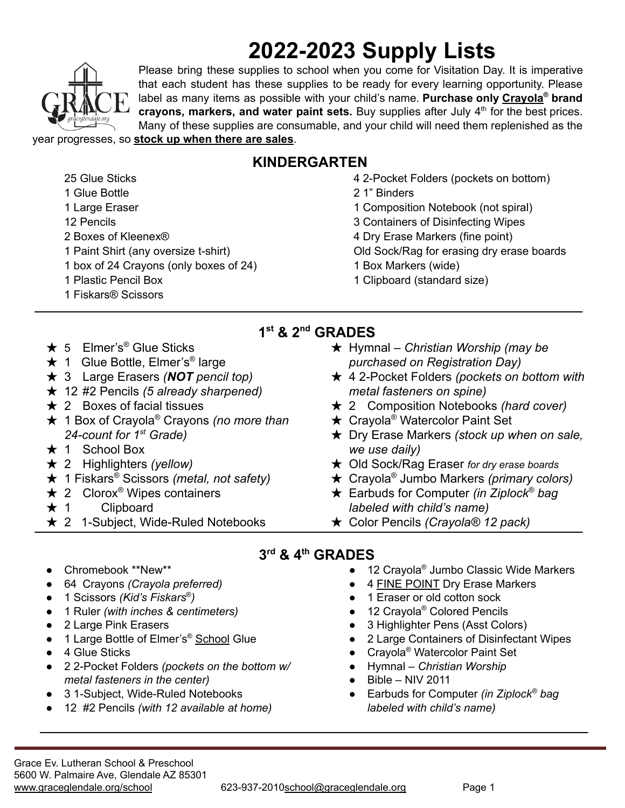# **2022-2023 Supply Lists**



 Glue Sticks Glue Bottle Large Eraser 12 Pencils

Please bring these supplies to school when you come for Visitation Day. It is imperative that each student has these supplies to be ready for every learning opportunity. Please label as many items as possible with your child's name. **Purchase only Crayola ® brand crayons, markers, and water paint sets.** Buy supplies after July 4 th for the best prices. Many of these supplies are consumable, and your child will need them replenished as the year progresses, so **stock up when there are sales**.

## **KINDERGARTEN**

**1 st & 2 nd GRADES**

- 4 2-Pocket Folders (pockets on bottom)
- 2 1" Binders
- 1 Composition Notebook (not spiral)
- 3 Containers of Disinfecting Wipes
- 4 Dry Erase Markers (fine point)
- Old Sock/Rag for erasing dry erase boards
- 1 Box Markers (wide)
- 1 Clipboard (standard size)

**★ 5** Elmer's<sup>®</sup> Glue Sticks

2 Boxes of Kleenex®

1 Plastic Pencil Box 1 Fiskars® Scissors

- **★ 1 Glue Bottle, Elmer's<sup>®</sup> large**
- ★ 3 Large Erasers *(NOT pencil top)*

1 Paint Shirt (any oversize t-shirt) 1 box of 24 Crayons (only boxes of 24)

- ★ 12 #2 Pencils *(5 already sharpened)*
- $\star$  2 Boxes of facial tissues
- ★ 1 Box of Crayola® Crayons *(no more than 24-count for 1st Grade)*
- $\star$  1 School Box
- ★ 2 Highlighters *(yellow)*
- ★ 1 Fiskars® Scissors *(metal, not safety)*
- $\star$  2 Clorox<sup>®</sup> Wipes containers
- $\star$  1 Clipboard
- $\star$  2 1-Subject, Wide-Ruled Notebooks
- ★ Hymnal *Christian Worship (may be purchased on Registration Day)*
- ★ 4 2-Pocket Folders *(pockets on bottom with metal fasteners on spine)*
- ★ 2 Composition Notebooks *(hard cover)*
- **★ Crayola<sup>®</sup> Watercolor Paint Set**
- ★ Dry Erase Markers *(stock up when on sale, we use daily)*
- ★ Old Sock/Rag Eraser *for dry erase boards*
- ★ Crayola® Jumbo Markers *(primary colors)*
- ★ Earbuds for Computer *(in Ziplock® bag labeled with child's name)*
- ★ Color Pencils *(Crayola® 12 pack)*

#### **3 rd & 4 th GRADES**

- 12 Crayola<sup>®</sup> Jumbo Classic Wide Markers
- 4 FINE POINT Dry Erase Markers
- 1 Eraser or old cotton sock
- 12 Crayola<sup>®</sup> Colored Pencils
- 3 Highlighter Pens (Asst Colors)
- 2 Large Containers of Disinfectant Wipes
- Crayola<sup>®</sup> Watercolor Paint Set
- Hymnal *Christian Worship*
- $Bible NIV 2011$
- Earbuds for Computer *(in Ziplock ® bag labeled with child's name)*
- Chromebook \*\*New\*\*
- 64 Crayons *(Crayola preferred)*
- 1 Scissors *(Kid's Fiskars* ® *)*
- 1 Ruler *(with inches & centimeters)*
- 2 Large Pink Erasers
- 1 Large Bottle of Elmer's<sup>®</sup> School Glue
- 4 Glue Sticks
- 2 2-Pocket Folders *(pockets on the bottom w/ metal fasteners in the center)*
- 3 1-Subject, Wide-Ruled Notebooks
- 12 #2 Pencils *(with 12 available at home)*